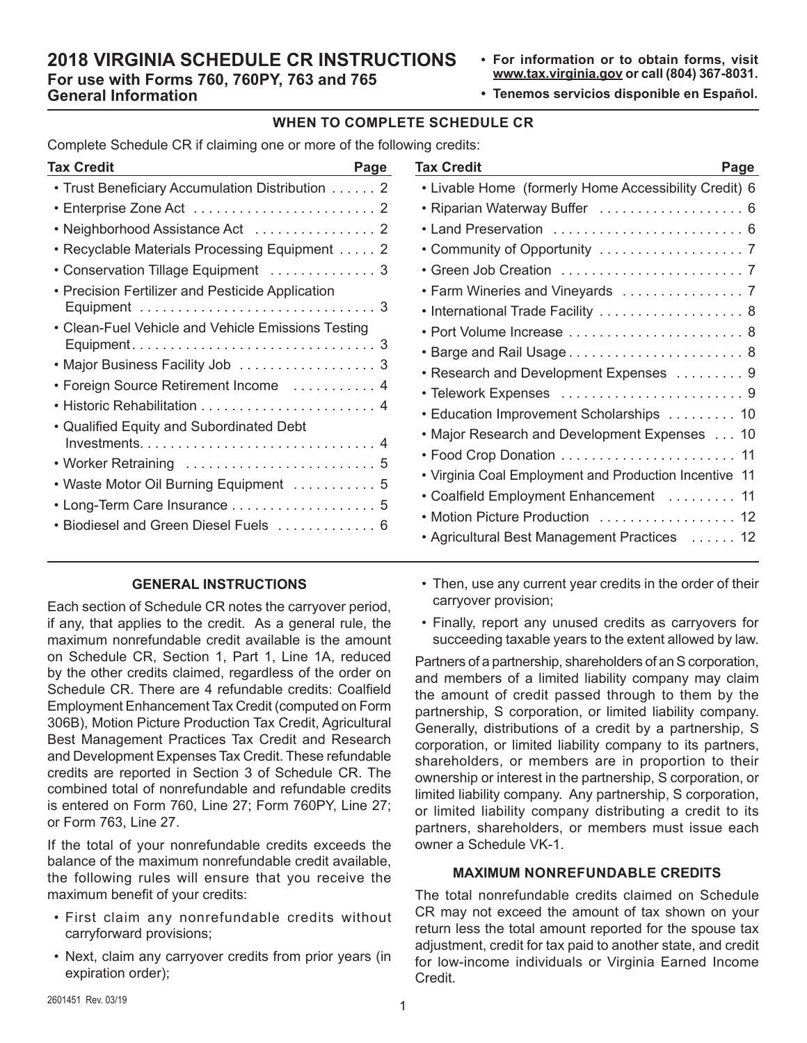## **2018 VIRGINIA SCHEDULE CR INSTRUCTIONS For use with Forms 760, 760PY, 763 and 765 General Information**

- **• For information or to obtain forms, visit www.tax.virginia.gov or call (804) 367-8031.**
- **• Tenemos servicios disponible en Español.**

#### **WHEN TO COMPLETE SCHEDULE CR**

Complete Schedule CR if claiming one or more of the following credits:

| Tax Credit<br>Page                                 |   |
|----------------------------------------------------|---|
| • Trust Beneficiary Accumulation Distribution 2    |   |
|                                                    |   |
|                                                    |   |
| Recyclable Materials Processing Equipment 2<br>٠   |   |
| Conservation Tillage Equipment  3                  |   |
| Precision Fertilizer and Pesticide Application     |   |
|                                                    |   |
| • Clean-Fuel Vehicle and Vehicle Emissions Testing |   |
|                                                    |   |
| • Major Business Facility Job 3                    |   |
| • Foreign Source Retirement Income  4              |   |
|                                                    |   |
| • Qualified Equity and Subordinated Debt           |   |
|                                                    |   |
| • Worker Retraining  5                             |   |
| • Waste Motor Oil Burning Equipment  5             |   |
| • Long-Term Care Insurance  5                      |   |
| Biodiesel and Green Diesel Fuels                   | 6 |
|                                                    |   |

## **GENERAL INSTRUCTIONS**

Each section of Schedule CR notes the carryover period, if any, that applies to the credit. As a general rule, the maximum nonrefundable credit available is the amount on Schedule CR, Section 1, Part 1, Line 1A, reduced by the other credits claimed, regardless of the order on Schedule CR. There are 4 refundable credits: Coalfield Employment Enhancement Tax Credit (computed on Form 306B), Motion Picture Production Tax Credit, Agricultural Best Management Practices Tax Credit and Research and Development Expenses Tax Credit. These refundable credits are reported in Section 3 of Schedule CR. The combined total of nonrefundable and refundable credits is entered on Form 760, Line 27; Form 760PY, Line 27; or Form 763, Line 27.

If the total of your nonrefundable credits exceeds the balance of the maximum nonrefundable credit available, the following rules will ensure that you receive the maximum benefit of your credits:

- First claim any nonrefundable credits without carryforward provisions;
- Next, claim any carryover credits from prior years (in expiration order);

| <b>Tax Credit</b><br>Page                              |
|--------------------------------------------------------|
| • Livable Home (formerly Home Accessibility Credit) 6  |
| • Riparian Waterway Buffer  6                          |
| • Land Preservation  6                                 |
|                                                        |
|                                                        |
| • Farm Wineries and Vineyards  7                       |
| • International Trade Facility  8                      |
|                                                        |
|                                                        |
| • Research and Development Expenses 9                  |
|                                                        |
| • Education Improvement Scholarships 10                |
| • Major Research and Development Expenses 10           |
|                                                        |
| • Virginia Coal Employment and Production Incentive 11 |
| • Coalfield Employment Enhancement  11                 |
| • Motion Picture Production  12                        |
| • Agricultural Best Management Practices  12           |
|                                                        |

- Then, use any current year credits in the order of their carryover provision;
- Finally, report any unused credits as carryovers for succeeding taxable years to the extent allowed by law.

Partners of a partnership, shareholders of an S corporation, and members of a limited liability company may claim the amount of credit passed through to them by the partnership, S corporation, or limited liability company. Generally, distributions of a credit by a partnership, S corporation, or limited liability company to its partners, shareholders, or members are in proportion to their ownership or interest in the partnership, S corporation, or limited liability company. Any partnership, S corporation, or limited liability company distributing a credit to its partners, shareholders, or members must issue each owner a Schedule VK-1.

#### **MAXIMUM NONREFUNDABLE CREDITS**

The total nonrefundable credits claimed on Schedule CR may not exceed the amount of tax shown on your return less the total amount reported for the spouse tax adjustment, credit for tax paid to another state, and credit for low-income individuals or Virginia Earned Income Credit.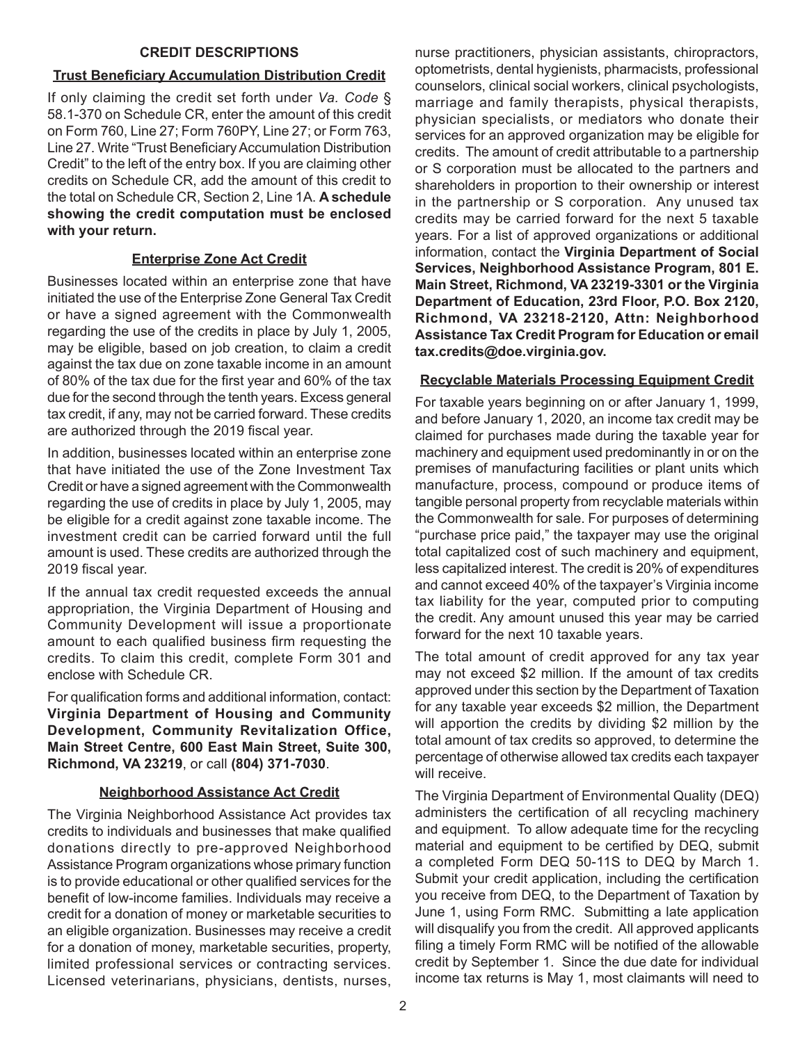#### **CREDIT DESCRIPTIONS**

## **Trust Beneficiary Accumulation Distribution Credit**

If only claiming the credit set forth under *Va. Code* § 58.1-370 on Schedule CR, enter the amount of this credit on Form 760, Line 27; Form 760PY, Line 27; or Form 763, Line 27. Write "Trust Beneficiary Accumulation Distribution Credit" to the left of the entry box. If you are claiming other credits on Schedule CR, add the amount of this credit to the total on Schedule CR, Section 2, Line 1A. **A schedule showing the credit computation must be enclosed with your return.**

# **Enterprise Zone Act Credit**

Businesses located within an enterprise zone that have initiated the use of the Enterprise Zone General Tax Credit or have a signed agreement with the Commonwealth regarding the use of the credits in place by July 1, 2005, may be eligible, based on job creation, to claim a credit against the tax due on zone taxable income in an amount of 80% of the tax due for the first year and 60% of the tax due for the second through the tenth years. Excess general tax credit, if any, may not be carried forward. These credits are authorized through the 2019 fiscal year.

In addition, businesses located within an enterprise zone that have initiated the use of the Zone Investment Tax Credit or have a signed agreement with the Commonwealth regarding the use of credits in place by July 1, 2005, may be eligible for a credit against zone taxable income. The investment credit can be carried forward until the full amount is used. These credits are authorized through the 2019 fiscal year.

If the annual tax credit requested exceeds the annual appropriation, the Virginia Department of Housing and Community Development will issue a proportionate amount to each qualified business firm requesting the credits. To claim this credit, complete Form 301 and enclose with Schedule CR.

For qualification forms and additional information, contact: **Virginia Department of Housing and Community Development, Community Revitalization Office, Main Street Centre, 600 East Main Street, Suite 300, Richmond, VA 23219**, or call **(804) 371-7030**.

# **Neighborhood Assistance Act Credit**

The Virginia Neighborhood Assistance Act provides tax credits to individuals and businesses that make qualified donations directly to pre-approved Neighborhood Assistance Program organizations whose primary function is to provide educational or other qualified services for the benefit of low-income families. Individuals may receive a credit for a donation of money or marketable securities to an eligible organization. Businesses may receive a credit for a donation of money, marketable securities, property, limited professional services or contracting services. Licensed veterinarians, physicians, dentists, nurses,

nurse practitioners, physician assistants, chiropractors, optometrists, dental hygienists, pharmacists, professional counselors, clinical social workers, clinical psychologists, marriage and family therapists, physical therapists, physician specialists, or mediators who donate their services for an approved organization may be eligible for credits. The amount of credit attributable to a partnership or S corporation must be allocated to the partners and shareholders in proportion to their ownership or interest in the partnership or S corporation. Any unused tax credits may be carried forward for the next 5 taxable years. For a list of approved organizations or additional information, contact the **Virginia Department of Social Services, Neighborhood Assistance Program, 801 E. Main Street, Richmond, VA 23219-3301 or the Virginia Department of Education, 23rd Floor, P.O. Box 2120, Richmond, VA 23218-2120, Attn: Neighborhood Assistance Tax Credit Program for Education or email tax.credits@doe.virginia.gov.**

# **Recyclable Materials Processing Equipment Credit**

For taxable years beginning on or after January 1, 1999, and before January 1, 2020, an income tax credit may be claimed for purchases made during the taxable year for machinery and equipment used predominantly in or on the premises of manufacturing facilities or plant units which manufacture, process, compound or produce items of tangible personal property from recyclable materials within the Commonwealth for sale. For purposes of determining "purchase price paid," the taxpayer may use the original total capitalized cost of such machinery and equipment, less capitalized interest. The credit is 20% of expenditures and cannot exceed 40% of the taxpayer's Virginia income tax liability for the year, computed prior to computing the credit. Any amount unused this year may be carried forward for the next 10 taxable years.

The total amount of credit approved for any tax year may not exceed \$2 million. If the amount of tax credits approved under this section by the Department of Taxation for any taxable year exceeds \$2 million, the Department will apportion the credits by dividing \$2 million by the total amount of tax credits so approved, to determine the percentage of otherwise allowed tax credits each taxpayer will receive.

The Virginia Department of Environmental Quality (DEQ) administers the certification of all recycling machinery and equipment. To allow adequate time for the recycling material and equipment to be certified by DEQ, submit a completed Form DEQ 50-11S to DEQ by March 1. Submit your credit application, including the certification you receive from DEQ, to the Department of Taxation by June 1, using Form RMC. Submitting a late application will disqualify you from the credit. All approved applicants filing a timely Form RMC will be notified of the allowable credit by September 1. Since the due date for individual income tax returns is May 1, most claimants will need to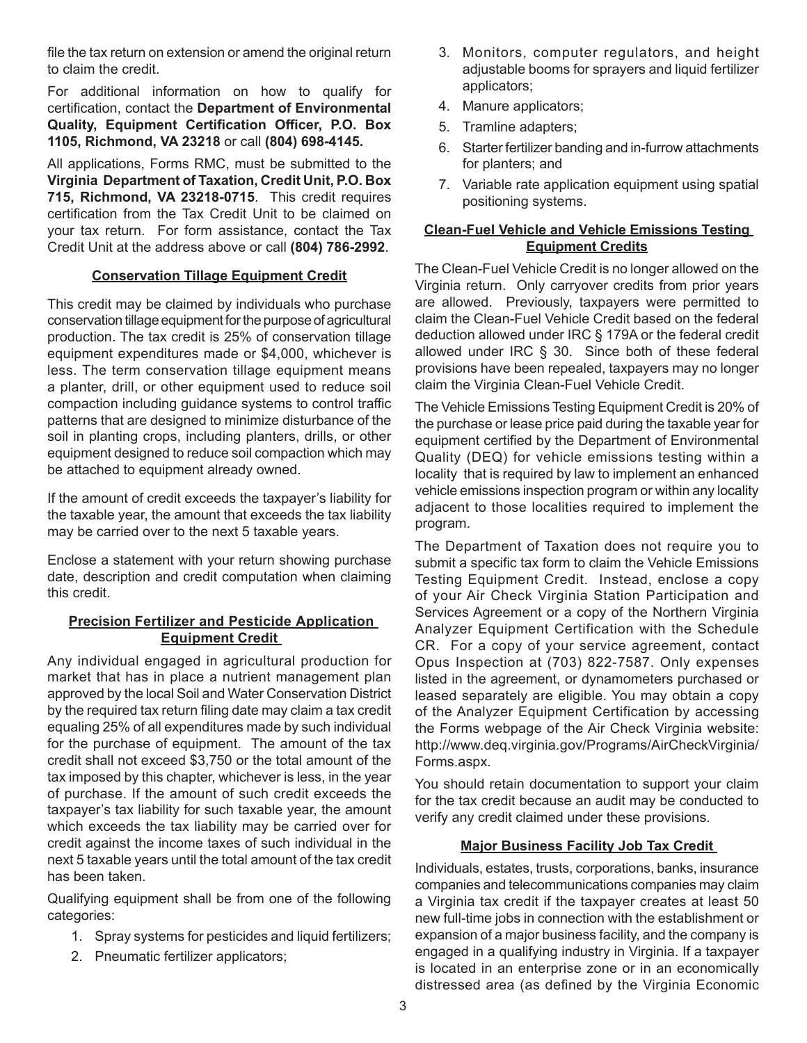file the tax return on extension or amend the original return to claim the credit.

For additional information on how to qualify for certification, contact the **Department of Environmental Quality, Equipment Certification Officer, P.O. Box 1105, Richmond, VA 23218** or call **(804) 698-4145.**

All applications, Forms RMC, must be submitted to the **Virginia Department of Taxation, Credit Unit, P.O. Box 715, Richmond, VA 23218-0715**. This credit requires certification from the Tax Credit Unit to be claimed on your tax return. For form assistance, contact the Tax Credit Unit at the address above or call **(804) 786-2992**.

### **Conservation Tillage Equipment Credit**

This credit may be claimed by individuals who purchase conservation tillage equipment for the purpose of agricultural production. The tax credit is 25% of conservation tillage equipment expenditures made or \$4,000, whichever is less. The term conservation tillage equipment means a planter, drill, or other equipment used to reduce soil compaction including guidance systems to control traffic patterns that are designed to minimize disturbance of the soil in planting crops, including planters, drills, or other equipment designed to reduce soil compaction which may be attached to equipment already owned.

If the amount of credit exceeds the taxpayer's liability for the taxable year, the amount that exceeds the tax liability may be carried over to the next 5 taxable years.

Enclose a statement with your return showing purchase date, description and credit computation when claiming this credit.

## **Precision Fertilizer and Pesticide Application Equipment Credit**

Any individual engaged in agricultural production for market that has in place a nutrient management plan approved by the local Soil and Water Conservation District by the required tax return filing date may claim a tax credit equaling 25% of all expenditures made by such individual for the purchase of equipment. The amount of the tax credit shall not exceed \$3,750 or the total amount of the tax imposed by this chapter, whichever is less, in the year of purchase. If the amount of such credit exceeds the taxpayer's tax liability for such taxable year, the amount which exceeds the tax liability may be carried over for credit against the income taxes of such individual in the next 5 taxable years until the total amount of the tax credit has been taken.

Qualifying equipment shall be from one of the following categories:

- 1. Spray systems for pesticides and liquid fertilizers;
- 2. Pneumatic fertilizer applicators;
- 3. Monitors, computer regulators, and height adjustable booms for sprayers and liquid fertilizer applicators;
- 4. Manure applicators;
- 5. Tramline adapters;
- 6. Starter fertilizer banding and in-furrow attachments for planters; and
- 7. Variable rate application equipment using spatial positioning systems.

### **Clean-Fuel Vehicle and Vehicle Emissions Testing Equipment Credits**

The Clean-Fuel Vehicle Credit is no longer allowed on the Virginia return. Only carryover credits from prior years are allowed. Previously, taxpayers were permitted to claim the Clean-Fuel Vehicle Credit based on the federal deduction allowed under IRC § 179A or the federal credit allowed under IRC § 30. Since both of these federal provisions have been repealed, taxpayers may no longer claim the Virginia Clean-Fuel Vehicle Credit.

The Vehicle Emissions Testing Equipment Credit is 20% of the purchase or lease price paid during the taxable year for equipment certified by the Department of Environmental Quality (DEQ) for vehicle emissions testing within a locality that is required by law to implement an enhanced vehicle emissions inspection program or within any locality adjacent to those localities required to implement the program.

The Department of Taxation does not require you to submit a specific tax form to claim the Vehicle Emissions Testing Equipment Credit. Instead, enclose a copy of your Air Check Virginia Station Participation and Services Agreement or a copy of the Northern Virginia Analyzer Equipment Certification with the Schedule CR. For a copy of your service agreement, contact Opus Inspection at (703) 822-7587. Only expenses listed in the agreement, or dynamometers purchased or leased separately are eligible. You may obtain a copy of the Analyzer Equipment Certification by accessing the Forms webpage of the Air Check Virginia website: http://www.deq.virginia.gov/Programs/AirCheckVirginia/ Forms.aspx.

You should retain documentation to support your claim for the tax credit because an audit may be conducted to verify any credit claimed under these provisions.

## **Major Business Facility Job Tax Credit**

Individuals, estates, trusts, corporations, banks, insurance companies and telecommunications companies may claim a Virginia tax credit if the taxpayer creates at least 50 new full-time jobs in connection with the establishment or expansion of a major business facility, and the company is engaged in a qualifying industry in Virginia. If a taxpayer is located in an enterprise zone or in an economically distressed area (as defined by the Virginia Economic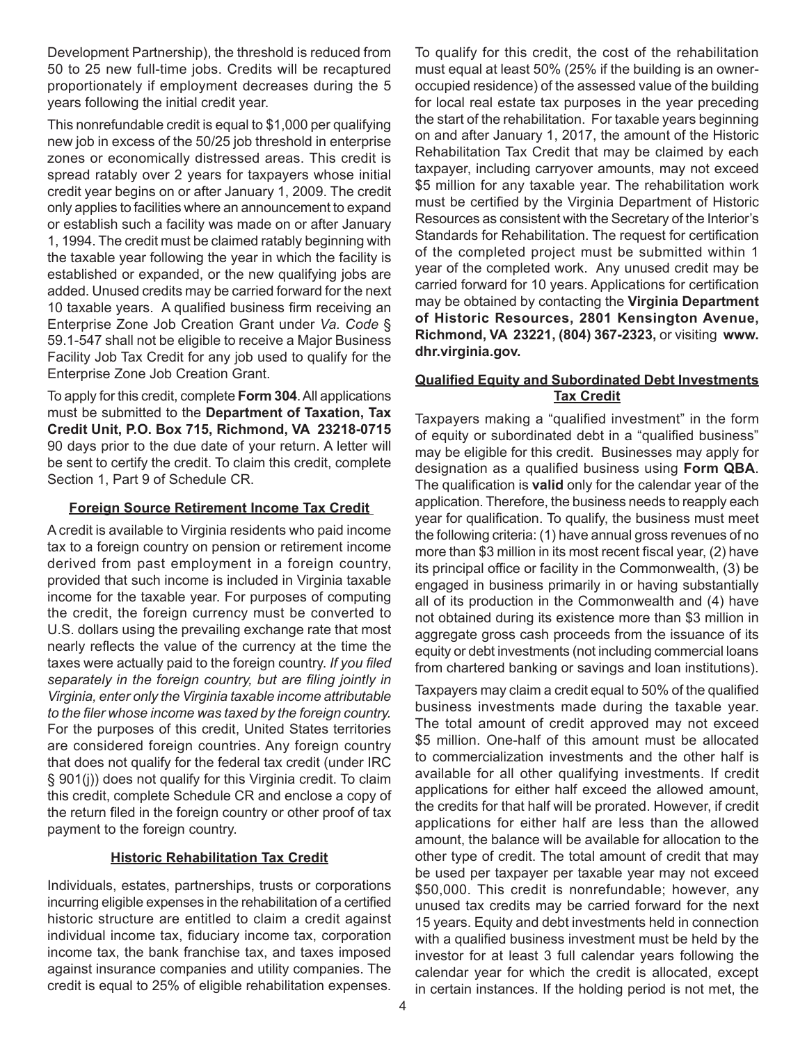Development Partnership), the threshold is reduced from 50 to 25 new full-time jobs. Credits will be recaptured proportionately if employment decreases during the 5 years following the initial credit year.

This nonrefundable credit is equal to \$1,000 per qualifying new job in excess of the 50/25 job threshold in enterprise zones or economically distressed areas. This credit is spread ratably over 2 years for taxpayers whose initial credit year begins on or after January 1, 2009. The credit only applies to facilities where an announcement to expand or establish such a facility was made on or after January 1, 1994. The credit must be claimed ratably beginning with the taxable year following the year in which the facility is established or expanded, or the new qualifying jobs are added. Unused credits may be carried forward for the next 10 taxable years. A qualified business firm receiving an Enterprise Zone Job Creation Grant under *Va. Code* § 59.1-547 shall not be eligible to receive a Major Business Facility Job Tax Credit for any job used to qualify for the Enterprise Zone Job Creation Grant.

To apply for this credit, complete **Form 304**. All applications must be submitted to the **Department of Taxation, Tax Credit Unit, P.O. Box 715, Richmond, VA 23218-0715** 90 days prior to the due date of your return. A letter will be sent to certify the credit. To claim this credit, complete Section 1, Part 9 of Schedule CR.

#### **Foreign Source Retirement Income Tax Credit**

A credit is available to Virginia residents who paid income tax to a foreign country on pension or retirement income derived from past employment in a foreign country, provided that such income is included in Virginia taxable income for the taxable year. For purposes of computing the credit, the foreign currency must be converted to U.S. dollars using the prevailing exchange rate that most nearly reflects the value of the currency at the time the taxes were actually paid to the foreign country. *If you filed separately in the foreign country, but are filing jointly in Virginia, enter only the Virginia taxable income attributable to the filer whose income was taxed by the foreign country.*  For the purposes of this credit, United States territories are considered foreign countries. Any foreign country that does not qualify for the federal tax credit (under IRC § 901(j)) does not qualify for this Virginia credit. To claim this credit, complete Schedule CR and enclose a copy of the return filed in the foreign country or other proof of tax payment to the foreign country.

#### **Historic Rehabilitation Tax Credit**

Individuals, estates, partnerships, trusts or corporations incurring eligible expenses in the rehabilitation of a certified historic structure are entitled to claim a credit against individual income tax, fiduciary income tax, corporation income tax, the bank franchise tax, and taxes imposed against insurance companies and utility companies. The credit is equal to 25% of eligible rehabilitation expenses.

To qualify for this credit, the cost of the rehabilitation must equal at least 50% (25% if the building is an owneroccupied residence) of the assessed value of the building for local real estate tax purposes in the year preceding the start of the rehabilitation. For taxable years beginning on and after January 1, 2017, the amount of the Historic Rehabilitation Tax Credit that may be claimed by each taxpayer, including carryover amounts, may not exceed \$5 million for any taxable year. The rehabilitation work must be certified by the Virginia Department of Historic Resources as consistent with the Secretary of the Interior's Standards for Rehabilitation. The request for certification of the completed project must be submitted within 1 year of the completed work. Any unused credit may be carried forward for 10 years. Applications for certification may be obtained by contacting the **Virginia Department of Historic Resources, 2801 Kensington Avenue, Richmond, VA 23221, (804) 367-2323,** or visiting **www. dhr.virginia.gov.** 

#### **Qualified Equity and Subordinated Debt Investments Tax Credit**

Taxpayers making a "qualified investment" in the form of equity or subordinated debt in a "qualified business" may be eligible for this credit. Businesses may apply for designation as a qualified business using **Form QBA**. The qualification is **valid** only for the calendar year of the application. Therefore, the business needs to reapply each year for qualification. To qualify, the business must meet the following criteria: (1) have annual gross revenues of no more than \$3 million in its most recent fiscal year, (2) have its principal office or facility in the Commonwealth, (3) be engaged in business primarily in or having substantially all of its production in the Commonwealth and (4) have not obtained during its existence more than \$3 million in aggregate gross cash proceeds from the issuance of its equity or debt investments (not including commercial loans from chartered banking or savings and loan institutions).

Taxpayers may claim a credit equal to 50% of the qualified business investments made during the taxable year. The total amount of credit approved may not exceed \$5 million. One-half of this amount must be allocated to commercialization investments and the other half is available for all other qualifying investments. If credit applications for either half exceed the allowed amount, the credits for that half will be prorated. However, if credit applications for either half are less than the allowed amount, the balance will be available for allocation to the other type of credit. The total amount of credit that may be used per taxpayer per taxable year may not exceed \$50,000. This credit is nonrefundable; however, any unused tax credits may be carried forward for the next 15 years. Equity and debt investments held in connection with a qualified business investment must be held by the investor for at least 3 full calendar years following the calendar year for which the credit is allocated, except in certain instances. If the holding period is not met, the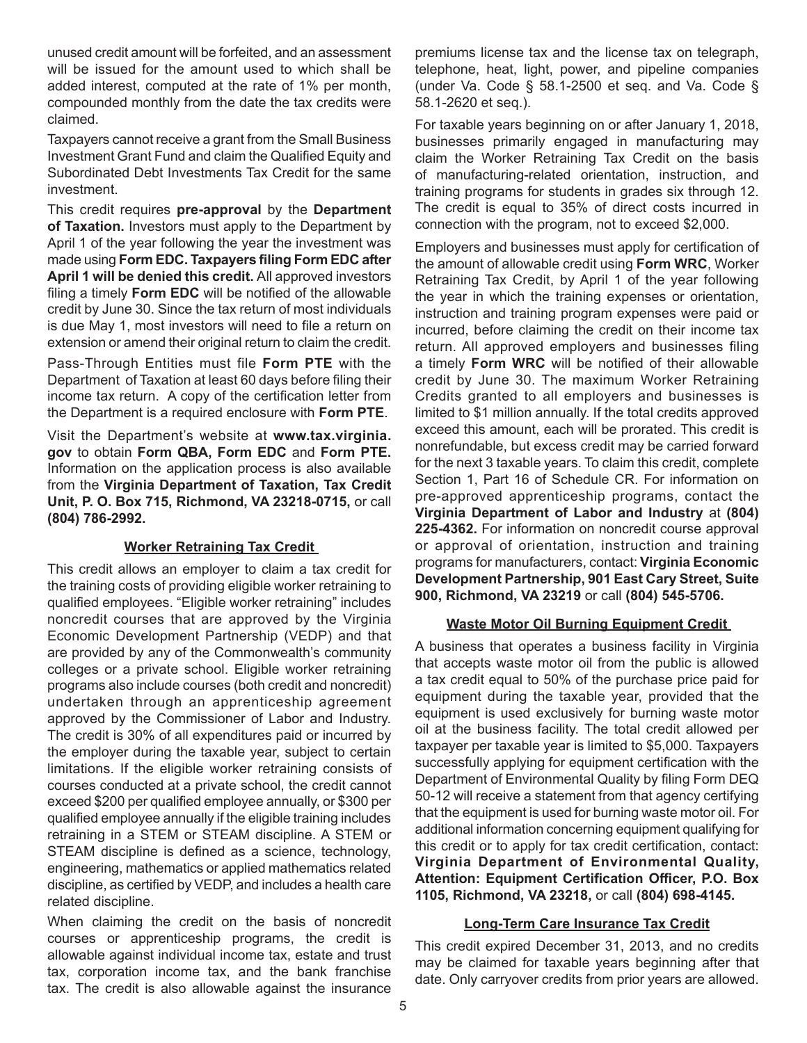unused credit amount will be forfeited, and an assessment will be issued for the amount used to which shall be added interest, computed at the rate of 1% per month, compounded monthly from the date the tax credits were claimed.

Taxpayers cannot receive a grant from the Small Business Investment Grant Fund and claim the Qualified Equity and Subordinated Debt Investments Tax Credit for the same investment.

This credit requires **pre-approval** by the **Department of Taxation.** Investors must apply to the Department by April 1 of the year following the year the investment was made using **Form EDC. Taxpayers filing Form EDC after April 1 will be denied this credit.** All approved investors filing a timely **Form EDC** will be notified of the allowable credit by June 30. Since the tax return of most individuals is due May 1, most investors will need to file a return on extension or amend their original return to claim the credit.

Pass-Through Entities must file **Form PTE** with the Department of Taxation at least 60 days before filing their income tax return. A copy of the certification letter from the Department is a required enclosure with **Form PTE**.

Visit the Department's website at **www.tax.virginia. gov** to obtain **Form QBA, Form EDC** and **Form PTE.** Information on the application process is also available from the **Virginia Department of Taxation, Tax Credit Unit, P. O. Box 715, Richmond, VA 23218-0715,** or call **(804) 786-2992.**

## **Worker Retraining Tax Credit**

This credit allows an employer to claim a tax credit for the training costs of providing eligible worker retraining to qualified employees. "Eligible worker retraining" includes noncredit courses that are approved by the Virginia Economic Development Partnership (VEDP) and that are provided by any of the Commonwealth's community colleges or a private school. Eligible worker retraining programs also include courses (both credit and noncredit) undertaken through an apprenticeship agreement approved by the Commissioner of Labor and Industry. The credit is 30% of all expenditures paid or incurred by the employer during the taxable year, subject to certain limitations. If the eligible worker retraining consists of courses conducted at a private school, the credit cannot exceed \$200 per qualified employee annually, or \$300 per qualified employee annually if the eligible training includes retraining in a STEM or STEAM discipline. A STEM or STEAM discipline is defined as a science, technology, engineering, mathematics or applied mathematics related discipline, as certified by VEDP, and includes a health care related discipline.

When claiming the credit on the basis of noncredit courses or apprenticeship programs, the credit is allowable against individual income tax, estate and trust tax, corporation income tax, and the bank franchise tax. The credit is also allowable against the insurance

premiums license tax and the license tax on telegraph, telephone, heat, light, power, and pipeline companies (under Va. Code § 58.1-2500 et seq. and Va. Code § 58.1-2620 et seq.).

For taxable years beginning on or after January 1, 2018, businesses primarily engaged in manufacturing may claim the Worker Retraining Tax Credit on the basis of manufacturing-related orientation, instruction, and training programs for students in grades six through 12. The credit is equal to 35% of direct costs incurred in connection with the program, not to exceed \$2,000.

Employers and businesses must apply for certification of the amount of allowable credit using **Form WRC**, Worker Retraining Tax Credit, by April 1 of the year following the year in which the training expenses or orientation, instruction and training program expenses were paid or incurred, before claiming the credit on their income tax return. All approved employers and businesses filing a timely **Form WRC** will be notified of their allowable credit by June 30. The maximum Worker Retraining Credits granted to all employers and businesses is limited to \$1 million annually. If the total credits approved exceed this amount, each will be prorated. This credit is nonrefundable, but excess credit may be carried forward for the next 3 taxable years. To claim this credit, complete Section 1, Part 16 of Schedule CR. For information on pre-approved apprenticeship programs, contact the **Virginia Department of Labor and Industry** at **(804) 225-4362.** For information on noncredit course approval or approval of orientation, instruction and training programs for manufacturers, contact: **Virginia Economic Development Partnership, 901 East Cary Street, Suite 900, Richmond, VA 23219** or call **(804) 545-5706.**

## **Waste Motor Oil Burning Equipment Credit**

A business that operates a business facility in Virginia that accepts waste motor oil from the public is allowed a tax credit equal to 50% of the purchase price paid for equipment during the taxable year, provided that the equipment is used exclusively for burning waste motor oil at the business facility. The total credit allowed per taxpayer per taxable year is limited to \$5,000. Taxpayers successfully applying for equipment certification with the Department of Environmental Quality by filing Form DEQ 50-12 will receive a statement from that agency certifying that the equipment is used for burning waste motor oil. For additional information concerning equipment qualifying for this credit or to apply for tax credit certification, contact: **Virginia Department of Environmental Quality, Attention: Equipment Certification Officer, P.O. Box 1105, Richmond, VA 23218,** or call **(804) 698-4145.**

#### **Long-Term Care Insurance Tax Credit**

This credit expired December 31, 2013, and no credits may be claimed for taxable years beginning after that date. Only carryover credits from prior years are allowed.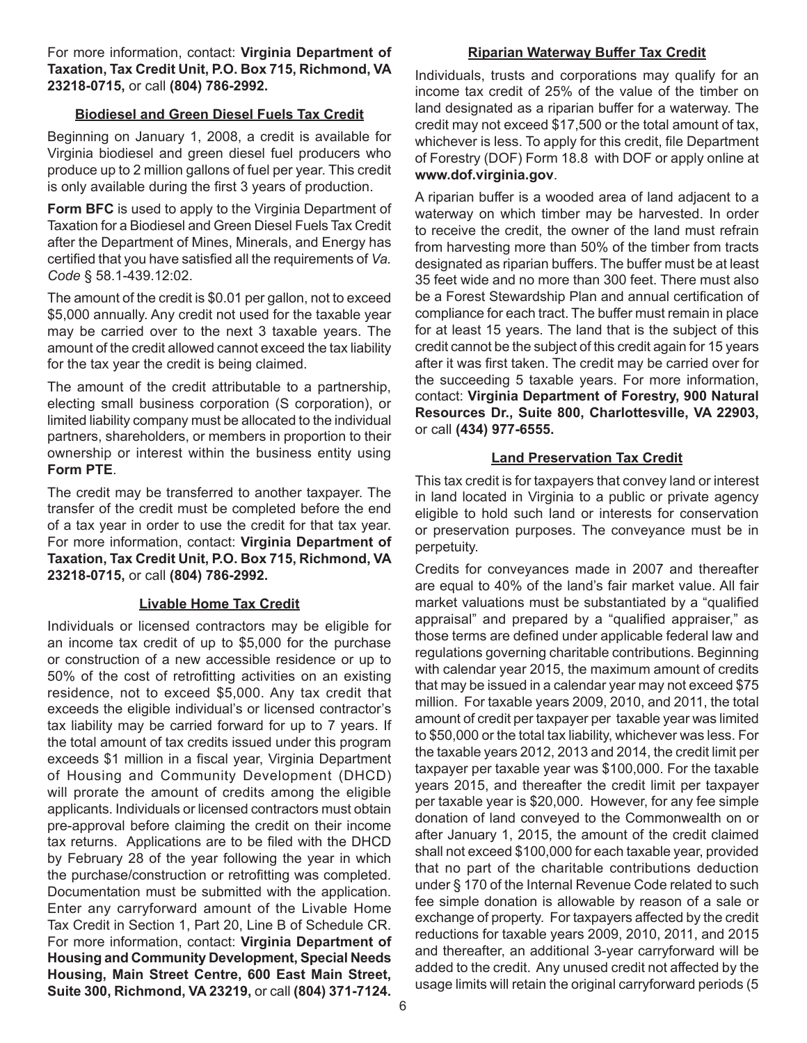For more information, contact: **Virginia Department of Taxation, Tax Credit Unit, P.O. Box 715, Richmond, VA 23218-0715,** or call **(804) 786-2992.**

#### **Biodiesel and Green Diesel Fuels Tax Credit**

Beginning on January 1, 2008, a credit is available for Virginia biodiesel and green diesel fuel producers who produce up to 2 million gallons of fuel per year. This credit is only available during the first 3 years of production.

**Form BFC** is used to apply to the Virginia Department of Taxation for a Biodiesel and Green Diesel Fuels Tax Credit after the Department of Mines, Minerals, and Energy has certified that you have satisfied all the requirements of *Va. Code* § 58.1-439.12:02.

The amount of the credit is \$0.01 per gallon, not to exceed \$5,000 annually. Any credit not used for the taxable year may be carried over to the next 3 taxable years. The amount of the credit allowed cannot exceed the tax liability for the tax year the credit is being claimed.

The amount of the credit attributable to a partnership, electing small business corporation (S corporation), or limited liability company must be allocated to the individual partners, shareholders, or members in proportion to their ownership or interest within the business entity using **Form PTE**.

The credit may be transferred to another taxpayer. The transfer of the credit must be completed before the end of a tax year in order to use the credit for that tax year. For more information, contact: **Virginia Department of Taxation, Tax Credit Unit, P.O. Box 715, Richmond, VA 23218-0715,** or call **(804) 786-2992.**

#### **Livable Home Tax Credit**

Individuals or licensed contractors may be eligible for an income tax credit of up to \$5,000 for the purchase or construction of a new accessible residence or up to 50% of the cost of retrofitting activities on an existing residence, not to exceed \$5,000. Any tax credit that exceeds the eligible individual's or licensed contractor's tax liability may be carried forward for up to 7 years. If the total amount of tax credits issued under this program exceeds \$1 million in a fiscal year, Virginia Department of Housing and Community Development (DHCD) will prorate the amount of credits among the eligible applicants. Individuals or licensed contractors must obtain pre-approval before claiming the credit on their income tax returns. Applications are to be filed with the DHCD by February 28 of the year following the year in which the purchase/construction or retrofitting was completed. Documentation must be submitted with the application. Enter any carryforward amount of the Livable Home Tax Credit in Section 1, Part 20, Line B of Schedule CR. For more information, contact: **Virginia Department of Housing and Community Development, Special Needs Housing, Main Street Centre, 600 East Main Street, Suite 300, Richmond, VA 23219,** or call **(804) 371-7124.**

#### **Riparian Waterway Buffer Tax Credit**

Individuals, trusts and corporations may qualify for an income tax credit of 25% of the value of the timber on land designated as a riparian buffer for a waterway. The credit may not exceed \$17,500 or the total amount of tax, whichever is less. To apply for this credit, file Department of Forestry (DOF) Form 18.8 with DOF or apply online at **www.dof.virginia.gov**.

A riparian buffer is a wooded area of land adjacent to a waterway on which timber may be harvested. In order to receive the credit, the owner of the land must refrain from harvesting more than 50% of the timber from tracts designated as riparian buffers. The buffer must be at least 35 feet wide and no more than 300 feet. There must also be a Forest Stewardship Plan and annual certification of compliance for each tract. The buffer must remain in place for at least 15 years. The land that is the subject of this credit cannot be the subject of this credit again for 15 years after it was first taken. The credit may be carried over for the succeeding 5 taxable years. For more information, contact: **Virginia Department of Forestry, 900 Natural Resources Dr., Suite 800, Charlottesville, VA 22903,**  or call **(434) 977-6555.** 

## **Land Preservation Tax Credit**

This tax credit is for taxpayers that convey land or interest in land located in Virginia to a public or private agency eligible to hold such land or interests for conservation or preservation purposes. The conveyance must be in perpetuity.

Credits for conveyances made in 2007 and thereafter are equal to 40% of the land's fair market value. All fair market valuations must be substantiated by a "qualified appraisal" and prepared by a "qualified appraiser," as those terms are defined under applicable federal law and regulations governing charitable contributions. Beginning with calendar year 2015, the maximum amount of credits that may be issued in a calendar year may not exceed \$75 million. For taxable years 2009, 2010, and 2011, the total amount of credit per taxpayer per taxable year was limited to \$50,000 or the total tax liability, whichever was less. For the taxable years 2012, 2013 and 2014, the credit limit per taxpayer per taxable year was \$100,000. For the taxable years 2015, and thereafter the credit limit per taxpayer per taxable year is \$20,000. However, for any fee simple donation of land conveyed to the Commonwealth on or after January 1, 2015, the amount of the credit claimed shall not exceed \$100,000 for each taxable year, provided that no part of the charitable contributions deduction under § 170 of the Internal Revenue Code related to such fee simple donation is allowable by reason of a sale or exchange of property. For taxpayers affected by the credit reductions for taxable years 2009, 2010, 2011, and 2015 and thereafter, an additional 3-year carryforward will be added to the credit. Any unused credit not affected by the usage limits will retain the original carryforward periods (5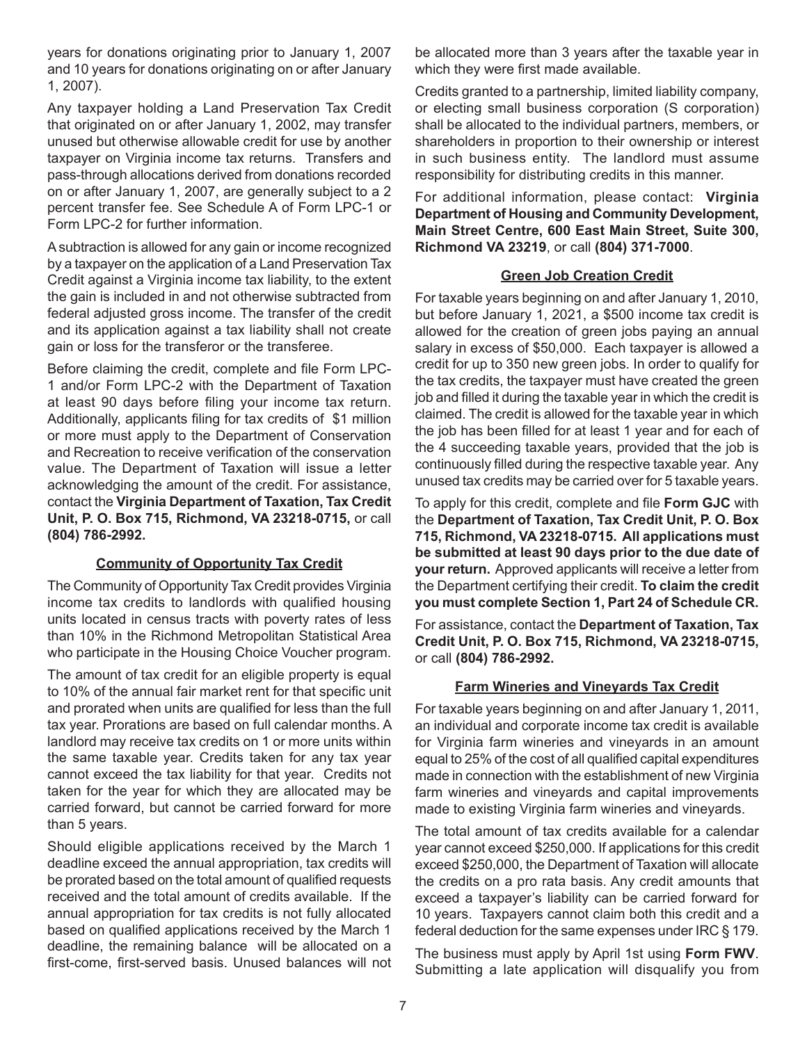years for donations originating prior to January 1, 2007 and 10 years for donations originating on or after January 1, 2007).

Any taxpayer holding a Land Preservation Tax Credit that originated on or after January 1, 2002, may transfer unused but otherwise allowable credit for use by another taxpayer on Virginia income tax returns. Transfers and pass-through allocations derived from donations recorded on or after January 1, 2007, are generally subject to a 2 percent transfer fee. See Schedule A of Form LPC-1 or Form LPC-2 for further information.

A subtraction is allowed for any gain or income recognized by a taxpayer on the application of a Land Preservation Tax Credit against a Virginia income tax liability, to the extent the gain is included in and not otherwise subtracted from federal adjusted gross income. The transfer of the credit and its application against a tax liability shall not create gain or loss for the transferor or the transferee.

Before claiming the credit, complete and file Form LPC-1 and/or Form LPC-2 with the Department of Taxation at least 90 days before filing your income tax return. Additionally, applicants filing for tax credits of \$1 million or more must apply to the Department of Conservation and Recreation to receive verification of the conservation value. The Department of Taxation will issue a letter acknowledging the amount of the credit. For assistance, contact the **Virginia Department of Taxation, Tax Credit Unit, P. O. Box 715, Richmond, VA 23218-0715,** or call **(804) 786-2992.**

#### **Community of Opportunity Tax Credit**

The Community of Opportunity Tax Credit provides Virginia income tax credits to landlords with qualified housing units located in census tracts with poverty rates of less than 10% in the Richmond Metropolitan Statistical Area who participate in the Housing Choice Voucher program.

The amount of tax credit for an eligible property is equal to 10% of the annual fair market rent for that specific unit and prorated when units are qualified for less than the full tax year. Prorations are based on full calendar months. A landlord may receive tax credits on 1 or more units within the same taxable year. Credits taken for any tax year cannot exceed the tax liability for that year. Credits not taken for the year for which they are allocated may be carried forward, but cannot be carried forward for more than 5 years.

Should eligible applications received by the March 1 deadline exceed the annual appropriation, tax credits will be prorated based on the total amount of qualified requests received and the total amount of credits available. If the annual appropriation for tax credits is not fully allocated based on qualified applications received by the March 1 deadline, the remaining balance will be allocated on a first-come, first-served basis. Unused balances will not be allocated more than 3 years after the taxable year in which they were first made available.

Credits granted to a partnership, limited liability company, or electing small business corporation (S corporation) shall be allocated to the individual partners, members, or shareholders in proportion to their ownership or interest in such business entity. The landlord must assume responsibility for distributing credits in this manner.

For additional information, please contact: **Virginia Department of Housing and Community Development, Main Street Centre, 600 East Main Street, Suite 300, Richmond VA 23219**, or call **(804) 371-7000**.

### **Green Job Creation Credit**

For taxable years beginning on and after January 1, 2010, but before January 1, 2021, a \$500 income tax credit is allowed for the creation of green jobs paying an annual salary in excess of \$50,000. Each taxpayer is allowed a credit for up to 350 new green jobs. In order to qualify for the tax credits, the taxpayer must have created the green job and filled it during the taxable year in which the credit is claimed. The credit is allowed for the taxable year in which the job has been filled for at least 1 year and for each of the 4 succeeding taxable years, provided that the job is continuously filled during the respective taxable year. Any unused tax credits may be carried over for 5 taxable years.

To apply for this credit, complete and file **Form GJC** with the **Department of Taxation, Tax Credit Unit, P. O. Box 715, Richmond, VA 23218-0715. All applications must be submitted at least 90 days prior to the due date of your return.** Approved applicants will receive a letter from the Department certifying their credit. **To claim the credit you must complete Section 1, Part 24 of Schedule CR.**

For assistance, contact the **Department of Taxation, Tax Credit Unit, P. O. Box 715, Richmond, VA 23218-0715,**  or call **(804) 786-2992.**

## **Farm Wineries and Vineyards Tax Credit**

For taxable years beginning on and after January 1, 2011, an individual and corporate income tax credit is available for Virginia farm wineries and vineyards in an amount equal to 25% of the cost of all qualified capital expenditures made in connection with the establishment of new Virginia farm wineries and vineyards and capital improvements made to existing Virginia farm wineries and vineyards.

The total amount of tax credits available for a calendar year cannot exceed \$250,000. If applications for this credit exceed \$250,000, the Department of Taxation will allocate the credits on a pro rata basis. Any credit amounts that exceed a taxpayer's liability can be carried forward for 10 years. Taxpayers cannot claim both this credit and a federal deduction for the same expenses under IRC § 179.

The business must apply by April 1st using **Form FWV**. Submitting a late application will disqualify you from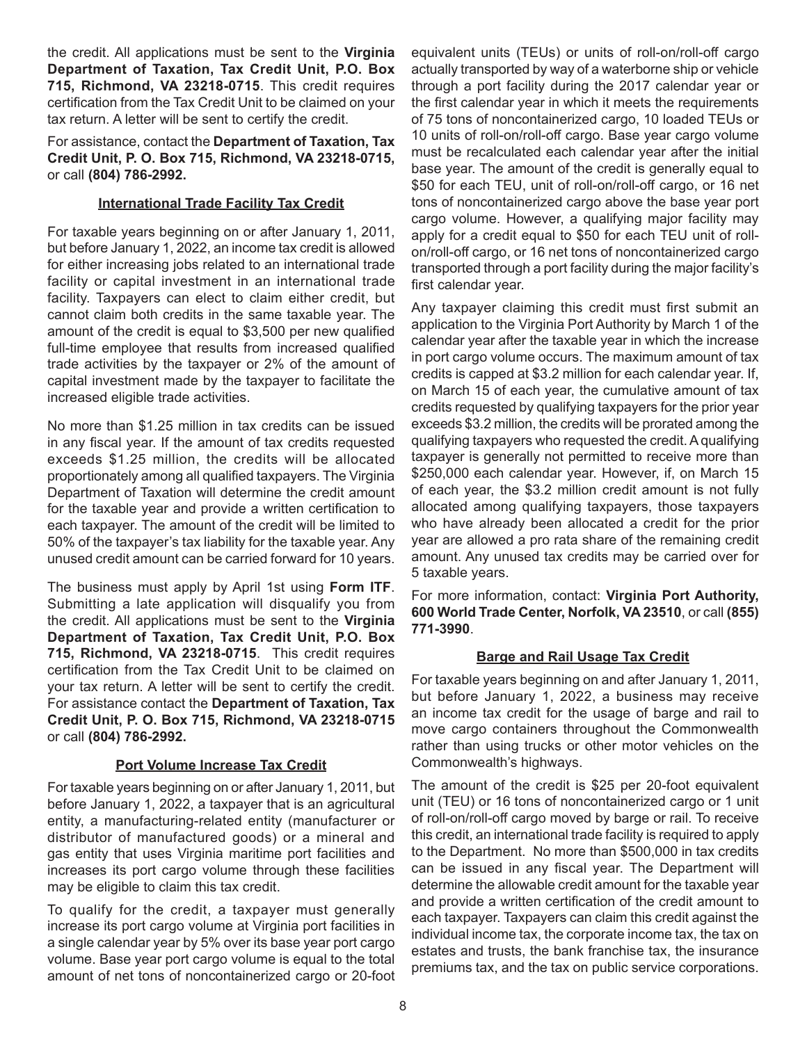the credit. All applications must be sent to the **Virginia Department of Taxation, Tax Credit Unit, P.O. Box 715, Richmond, VA 23218-0715**. This credit requires certification from the Tax Credit Unit to be claimed on your tax return. A letter will be sent to certify the credit.

For assistance, contact the **Department of Taxation, Tax Credit Unit, P. O. Box 715, Richmond, VA 23218-0715,**  or call **(804) 786-2992.**

### **International Trade Facility Tax Credit**

For taxable years beginning on or after January 1, 2011, but before January 1, 2022, an income tax credit is allowed for either increasing jobs related to an international trade facility or capital investment in an international trade facility. Taxpayers can elect to claim either credit, but cannot claim both credits in the same taxable year. The amount of the credit is equal to \$3,500 per new qualified full-time employee that results from increased qualified trade activities by the taxpayer or 2% of the amount of capital investment made by the taxpayer to facilitate the increased eligible trade activities.

No more than \$1.25 million in tax credits can be issued in any fiscal year. If the amount of tax credits requested exceeds \$1.25 million, the credits will be allocated proportionately among all qualified taxpayers. The Virginia Department of Taxation will determine the credit amount for the taxable year and provide a written certification to each taxpayer. The amount of the credit will be limited to 50% of the taxpayer's tax liability for the taxable year. Any unused credit amount can be carried forward for 10 years.

The business must apply by April 1st using **Form ITF**. Submitting a late application will disqualify you from the credit. All applications must be sent to the **Virginia Department of Taxation, Tax Credit Unit, P.O. Box 715, Richmond, VA 23218-0715**. This credit requires certification from the Tax Credit Unit to be claimed on your tax return. A letter will be sent to certify the credit. For assistance contact the **Department of Taxation, Tax Credit Unit, P. O. Box 715, Richmond, VA 23218-0715**  or call **(804) 786-2992.**

## **Port Volume Increase Tax Credit**

For taxable years beginning on or after January 1, 2011, but before January 1, 2022, a taxpayer that is an agricultural entity, a manufacturing-related entity (manufacturer or distributor of manufactured goods) or a mineral and gas entity that uses Virginia maritime port facilities and increases its port cargo volume through these facilities may be eligible to claim this tax credit.

To qualify for the credit, a taxpayer must generally increase its port cargo volume at Virginia port facilities in a single calendar year by 5% over its base year port cargo volume. Base year port cargo volume is equal to the total amount of net tons of noncontainerized cargo or 20-foot equivalent units (TEUs) or units of roll-on/roll-off cargo actually transported by way of a waterborne ship or vehicle through a port facility during the 2017 calendar year or the first calendar year in which it meets the requirements of 75 tons of noncontainerized cargo, 10 loaded TEUs or 10 units of roll-on/roll-off cargo. Base year cargo volume must be recalculated each calendar year after the initial base year. The amount of the credit is generally equal to \$50 for each TEU, unit of roll-on/roll-off cargo, or 16 net tons of noncontainerized cargo above the base year port cargo volume. However, a qualifying major facility may apply for a credit equal to \$50 for each TEU unit of rollon/roll-off cargo, or 16 net tons of noncontainerized cargo transported through a port facility during the major facility's first calendar year.

Any taxpayer claiming this credit must first submit an application to the Virginia Port Authority by March 1 of the calendar year after the taxable year in which the increase in port cargo volume occurs. The maximum amount of tax credits is capped at \$3.2 million for each calendar year. If, on March 15 of each year, the cumulative amount of tax credits requested by qualifying taxpayers for the prior year exceeds \$3.2 million, the credits will be prorated among the qualifying taxpayers who requested the credit. A qualifying taxpayer is generally not permitted to receive more than \$250,000 each calendar year. However, if, on March 15 of each year, the \$3.2 million credit amount is not fully allocated among qualifying taxpayers, those taxpayers who have already been allocated a credit for the prior year are allowed a pro rata share of the remaining credit amount. Any unused tax credits may be carried over for 5 taxable years.

For more information, contact: **Virginia Port Authority, 600 World Trade Center, Norfolk, VA 23510**, or call **(855) 771-3990**.

## **Barge and Rail Usage Tax Credit**

For taxable years beginning on and after January 1, 2011, but before January 1, 2022, a business may receive an income tax credit for the usage of barge and rail to move cargo containers throughout the Commonwealth rather than using trucks or other motor vehicles on the Commonwealth's highways.

The amount of the credit is \$25 per 20-foot equivalent unit (TEU) or 16 tons of noncontainerized cargo or 1 unit of roll-on/roll-off cargo moved by barge or rail. To receive this credit, an international trade facility is required to apply to the Department. No more than \$500,000 in tax credits can be issued in any fiscal year. The Department will determine the allowable credit amount for the taxable year and provide a written certification of the credit amount to each taxpayer. Taxpayers can claim this credit against the individual income tax, the corporate income tax, the tax on estates and trusts, the bank franchise tax, the insurance premiums tax, and the tax on public service corporations.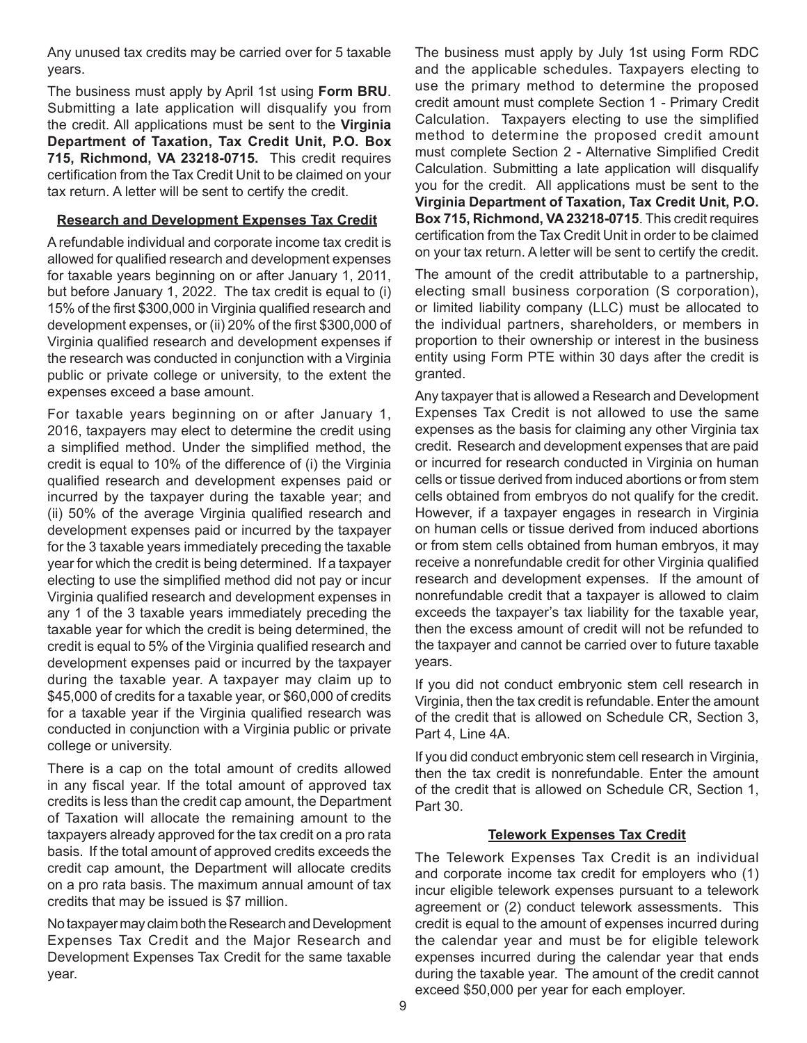Any unused tax credits may be carried over for 5 taxable years.

The business must apply by April 1st using **Form BRU**. Submitting a late application will disqualify you from the credit. All applications must be sent to the **Virginia Department of Taxation, Tax Credit Unit, P.O. Box 715, Richmond, VA 23218-0715.** This credit requires certification from the Tax Credit Unit to be claimed on your tax return. A letter will be sent to certify the credit.

#### **Research and Development Expenses Tax Credit**

A refundable individual and corporate income tax credit is allowed for qualified research and development expenses for taxable years beginning on or after January 1, 2011, but before January 1, 2022. The tax credit is equal to (i) 15% of the first \$300,000 in Virginia qualified research and development expenses, or (ii) 20% of the first \$300,000 of Virginia qualified research and development expenses if the research was conducted in conjunction with a Virginia public or private college or university, to the extent the expenses exceed a base amount.

For taxable years beginning on or after January 1, 2016, taxpayers may elect to determine the credit using a simplified method. Under the simplified method, the credit is equal to 10% of the difference of (i) the Virginia qualified research and development expenses paid or incurred by the taxpayer during the taxable year; and (ii) 50% of the average Virginia qualified research and development expenses paid or incurred by the taxpayer for the 3 taxable years immediately preceding the taxable year for which the credit is being determined. If a taxpayer electing to use the simplified method did not pay or incur Virginia qualified research and development expenses in any 1 of the 3 taxable years immediately preceding the taxable year for which the credit is being determined, the credit is equal to 5% of the Virginia qualified research and development expenses paid or incurred by the taxpayer during the taxable year. A taxpayer may claim up to \$45,000 of credits for a taxable year, or \$60,000 of credits for a taxable year if the Virginia qualified research was conducted in conjunction with a Virginia public or private college or university.

There is a cap on the total amount of credits allowed in any fiscal year. If the total amount of approved tax credits is less than the credit cap amount, the Department of Taxation will allocate the remaining amount to the taxpayers already approved for the tax credit on a pro rata basis. If the total amount of approved credits exceeds the credit cap amount, the Department will allocate credits on a pro rata basis. The maximum annual amount of tax credits that may be issued is \$7 million.

No taxpayer may claim both the Research and Development Expenses Tax Credit and the Major Research and Development Expenses Tax Credit for the same taxable year.

The business must apply by July 1st using Form RDC and the applicable schedules. Taxpayers electing to use the primary method to determine the proposed credit amount must complete Section 1 - Primary Credit Calculation. Taxpayers electing to use the simplified method to determine the proposed credit amount must complete Section 2 - Alternative Simplified Credit Calculation. Submitting a late application will disqualify you for the credit. All applications must be sent to the **Virginia Department of Taxation, Tax Credit Unit, P.O. Box 715, Richmond, VA 23218-0715**. This credit requires certification from the Tax Credit Unit in order to be claimed on your tax return. A letter will be sent to certify the credit.

The amount of the credit attributable to a partnership, electing small business corporation (S corporation), or limited liability company (LLC) must be allocated to the individual partners, shareholders, or members in proportion to their ownership or interest in the business entity using Form PTE within 30 days after the credit is granted.

Any taxpayer that is allowed a Research and Development Expenses Tax Credit is not allowed to use the same expenses as the basis for claiming any other Virginia tax credit. Research and development expenses that are paid or incurred for research conducted in Virginia on human cells or tissue derived from induced abortions or from stem cells obtained from embryos do not qualify for the credit. However, if a taxpayer engages in research in Virginia on human cells or tissue derived from induced abortions or from stem cells obtained from human embryos, it may receive a nonrefundable credit for other Virginia qualified research and development expenses. If the amount of nonrefundable credit that a taxpayer is allowed to claim exceeds the taxpayer's tax liability for the taxable year, then the excess amount of credit will not be refunded to the taxpayer and cannot be carried over to future taxable years.

If you did not conduct embryonic stem cell research in Virginia, then the tax credit is refundable. Enter the amount of the credit that is allowed on Schedule CR, Section 3, Part 4, Line 4A.

If you did conduct embryonic stem cell research in Virginia, then the tax credit is nonrefundable. Enter the amount of the credit that is allowed on Schedule CR, Section 1, Part 30.

#### **Telework Expenses Tax Credit**

The Telework Expenses Tax Credit is an individual and corporate income tax credit for employers who (1) incur eligible telework expenses pursuant to a telework agreement or (2) conduct telework assessments. This credit is equal to the amount of expenses incurred during the calendar year and must be for eligible telework expenses incurred during the calendar year that ends during the taxable year. The amount of the credit cannot exceed \$50,000 per year for each employer.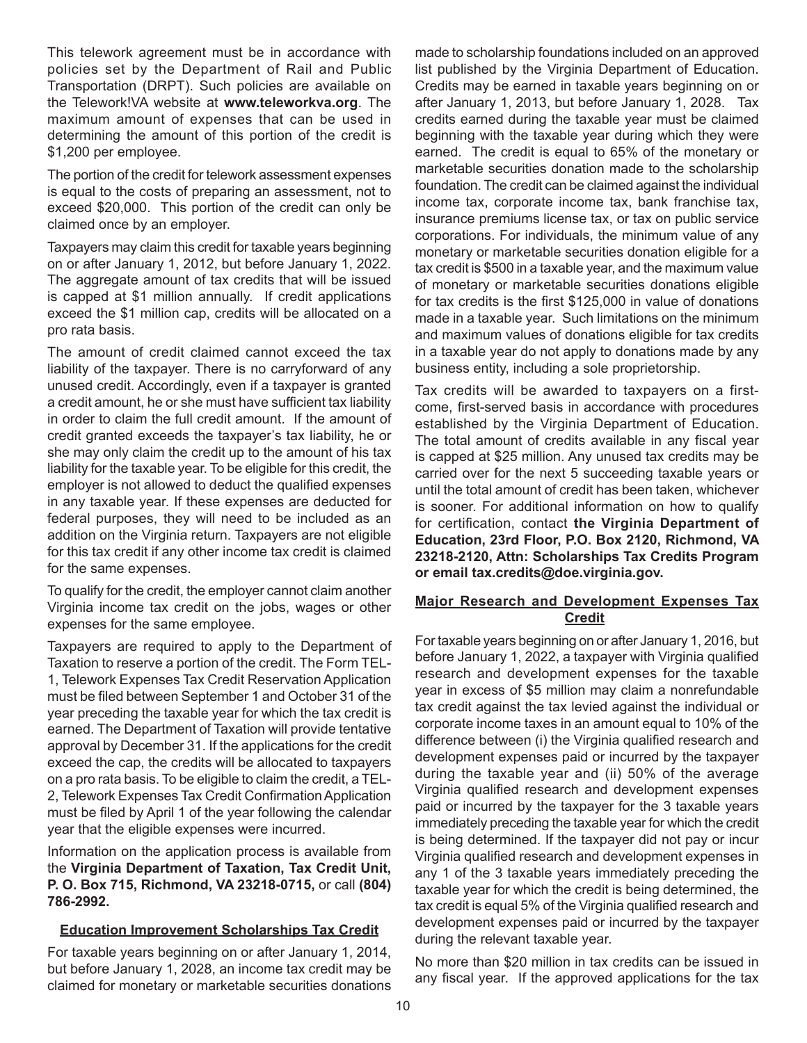This telework agreement must be in accordance with policies set by the Department of Rail and Public Transportation (DRPT). Such policies are available on the Telework!VA website at **www.teleworkva.org**. The maximum amount of expenses that can be used in determining the amount of this portion of the credit is \$1,200 per employee.

The portion of the credit for telework assessment expenses is equal to the costs of preparing an assessment, not to exceed \$20,000. This portion of the credit can only be claimed once by an employer.

Taxpayers may claim this credit for taxable years beginning on or after January 1, 2012, but before January 1, 2022. The aggregate amount of tax credits that will be issued is capped at \$1 million annually. If credit applications exceed the \$1 million cap, credits will be allocated on a pro rata basis.

The amount of credit claimed cannot exceed the tax liability of the taxpayer. There is no carryforward of any unused credit. Accordingly, even if a taxpayer is granted a credit amount, he or she must have sufficient tax liability in order to claim the full credit amount. If the amount of credit granted exceeds the taxpayer's tax liability, he or she may only claim the credit up to the amount of his tax liability for the taxable year. To be eligible for this credit, the employer is not allowed to deduct the qualified expenses in any taxable year. If these expenses are deducted for federal purposes, they will need to be included as an addition on the Virginia return. Taxpayers are not eligible for this tax credit if any other income tax credit is claimed for the same expenses.

To qualify for the credit, the employer cannot claim another Virginia income tax credit on the jobs, wages or other expenses for the same employee.

Taxpayers are required to apply to the Department of Taxation to reserve a portion of the credit. The Form TEL-1, Telework Expenses Tax Credit Reservation Application must be filed between September 1 and October 31 of the year preceding the taxable year for which the tax credit is earned. The Department of Taxation will provide tentative approval by December 31. If the applications for the credit exceed the cap, the credits will be allocated to taxpayers on a pro rata basis. To be eligible to claim the credit, a TEL-2, Telework Expenses Tax Credit Confirmation Application must be filed by April 1 of the year following the calendar year that the eligible expenses were incurred.

Information on the application process is available from the **Virginia Department of Taxation, Tax Credit Unit, P. O. Box 715, Richmond, VA 23218-0715,** or call **(804) 786-2992.**

#### **Education Improvement Scholarships Tax Credit**

For taxable years beginning on or after January 1, 2014, but before January 1, 2028, an income tax credit may be claimed for monetary or marketable securities donations

made to scholarship foundations included on an approved list published by the Virginia Department of Education. Credits may be earned in taxable years beginning on or after January 1, 2013, but before January 1, 2028. Tax credits earned during the taxable year must be claimed beginning with the taxable year during which they were earned. The credit is equal to 65% of the monetary or marketable securities donation made to the scholarship foundation. The credit can be claimed against the individual income tax, corporate income tax, bank franchise tax, insurance premiums license tax, or tax on public service corporations. For individuals, the minimum value of any monetary or marketable securities donation eligible for a tax credit is \$500 in a taxable year, and the maximum value of monetary or marketable securities donations eligible for tax credits is the first \$125,000 in value of donations made in a taxable year. Such limitations on the minimum and maximum values of donations eligible for tax credits in a taxable year do not apply to donations made by any business entity, including a sole proprietorship.

Tax credits will be awarded to taxpayers on a firstcome, first-served basis in accordance with procedures established by the Virginia Department of Education. The total amount of credits available in any fiscal year is capped at \$25 million. Any unused tax credits may be carried over for the next 5 succeeding taxable years or until the total amount of credit has been taken, whichever is sooner. For additional information on how to qualify for certification, contact **the Virginia Department of Education, 23rd Floor, P.O. Box 2120, Richmond, VA 23218-2120, Attn: Scholarships Tax Credits Program or email tax.credits@doe.virginia.gov.**

### **Major Research and Development Expenses Tax Credit**

For taxable years beginning on or after January 1, 2016, but before January 1, 2022, a taxpayer with Virginia qualified research and development expenses for the taxable year in excess of \$5 million may claim a nonrefundable tax credit against the tax levied against the individual or corporate income taxes in an amount equal to 10% of the difference between (i) the Virginia qualified research and development expenses paid or incurred by the taxpayer during the taxable year and (ii) 50% of the average Virginia qualified research and development expenses paid or incurred by the taxpayer for the 3 taxable years immediately preceding the taxable year for which the credit is being determined. If the taxpayer did not pay or incur Virginia qualified research and development expenses in any 1 of the 3 taxable years immediately preceding the taxable year for which the credit is being determined, the tax credit is equal 5% of the Virginia qualified research and development expenses paid or incurred by the taxpayer during the relevant taxable year.

No more than \$20 million in tax credits can be issued in any fiscal year. If the approved applications for the tax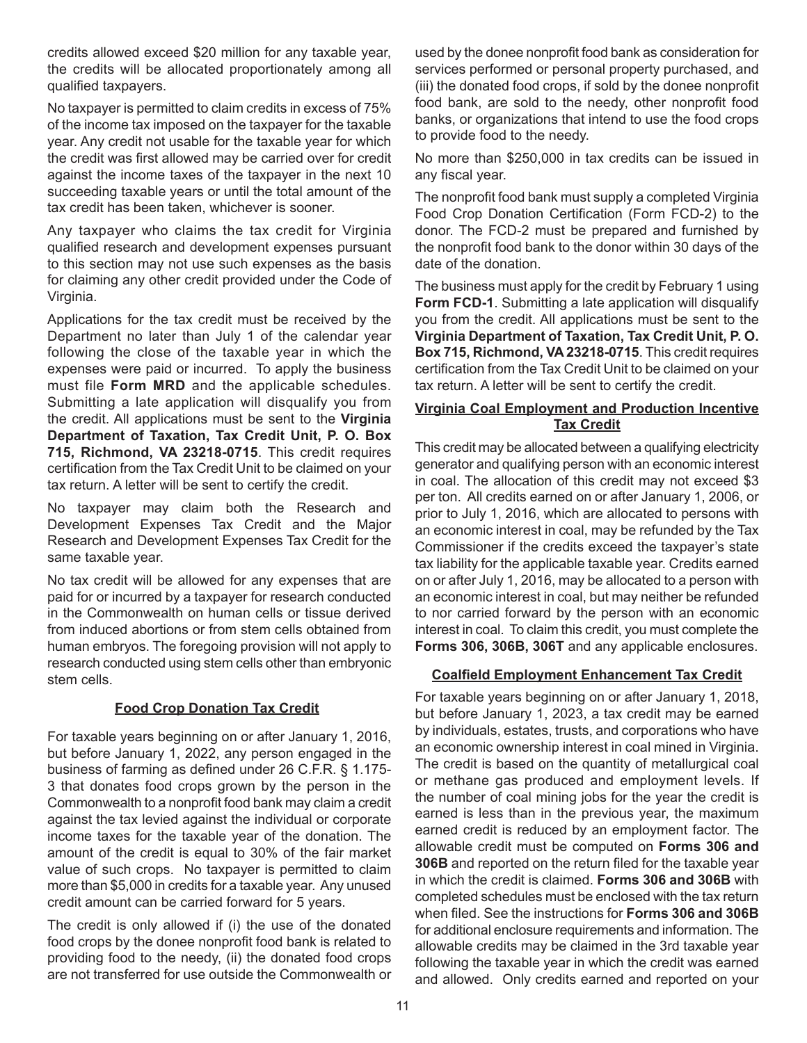credits allowed exceed \$20 million for any taxable year, the credits will be allocated proportionately among all qualified taxpayers.

No taxpayer is permitted to claim credits in excess of 75% of the income tax imposed on the taxpayer for the taxable year. Any credit not usable for the taxable year for which the credit was first allowed may be carried over for credit against the income taxes of the taxpayer in the next 10 succeeding taxable years or until the total amount of the tax credit has been taken, whichever is sooner.

Any taxpayer who claims the tax credit for Virginia qualified research and development expenses pursuant to this section may not use such expenses as the basis for claiming any other credit provided under the Code of Virginia.

Applications for the tax credit must be received by the Department no later than July 1 of the calendar year following the close of the taxable year in which the expenses were paid or incurred. To apply the business must file **Form MRD** and the applicable schedules. Submitting a late application will disqualify you from the credit. All applications must be sent to the **Virginia Department of Taxation, Tax Credit Unit, P. O. Box 715, Richmond, VA 23218-0715**. This credit requires certification from the Tax Credit Unit to be claimed on your tax return. A letter will be sent to certify the credit.

No taxpayer may claim both the Research and Development Expenses Tax Credit and the Major Research and Development Expenses Tax Credit for the same taxable year.

No tax credit will be allowed for any expenses that are paid for or incurred by a taxpayer for research conducted in the Commonwealth on human cells or tissue derived from induced abortions or from stem cells obtained from human embryos. The foregoing provision will not apply to research conducted using stem cells other than embryonic stem cells.

#### **Food Crop Donation Tax Credit**

For taxable years beginning on or after January 1, 2016, but before January 1, 2022, any person engaged in the business of farming as defined under 26 C.F.R. § 1.175- 3 that donates food crops grown by the person in the Commonwealth to a nonprofit food bank may claim a credit against the tax levied against the individual or corporate income taxes for the taxable year of the donation. The amount of the credit is equal to 30% of the fair market value of such crops. No taxpayer is permitted to claim more than \$5,000 in credits for a taxable year. Any unused credit amount can be carried forward for 5 years.

The credit is only allowed if (i) the use of the donated food crops by the donee nonprofit food bank is related to providing food to the needy, (ii) the donated food crops are not transferred for use outside the Commonwealth or used by the donee nonprofit food bank as consideration for services performed or personal property purchased, and (iii) the donated food crops, if sold by the donee nonprofit food bank, are sold to the needy, other nonprofit food banks, or organizations that intend to use the food crops to provide food to the needy.

No more than \$250,000 in tax credits can be issued in any fiscal year.

The nonprofit food bank must supply a completed Virginia Food Crop Donation Certification (Form FCD-2) to the donor. The FCD-2 must be prepared and furnished by the nonprofit food bank to the donor within 30 days of the date of the donation.

The business must apply for the credit by February 1 using **Form FCD-1**. Submitting a late application will disqualify you from the credit. All applications must be sent to the **Virginia Department of Taxation, Tax Credit Unit, P. O. Box 715, Richmond, VA 23218-0715**. This credit requires certification from the Tax Credit Unit to be claimed on your tax return. A letter will be sent to certify the credit.

### **Virginia Coal Employment and Production Incentive Tax Credit**

This credit may be allocated between a qualifying electricity generator and qualifying person with an economic interest in coal. The allocation of this credit may not exceed \$3 per ton. All credits earned on or after January 1, 2006, or prior to July 1, 2016, which are allocated to persons with an economic interest in coal, may be refunded by the Tax Commissioner if the credits exceed the taxpayer's state tax liability for the applicable taxable year. Credits earned on or after July 1, 2016, may be allocated to a person with an economic interest in coal, but may neither be refunded to nor carried forward by the person with an economic interest in coal. To claim this credit, you must complete the **Forms 306, 306B, 306T** and any applicable enclosures.

## **Coalfield Employment Enhancement Tax Credit**

For taxable years beginning on or after January 1, 2018, but before January 1, 2023, a tax credit may be earned by individuals, estates, trusts, and corporations who have an economic ownership interest in coal mined in Virginia. The credit is based on the quantity of metallurgical coal or methane gas produced and employment levels. If the number of coal mining jobs for the year the credit is earned is less than in the previous year, the maximum earned credit is reduced by an employment factor. The allowable credit must be computed on **Forms 306 and 306B** and reported on the return filed for the taxable year in which the credit is claimed. **Forms 306 and 306B** with completed schedules must be enclosed with the tax return when filed. See the instructions for **Forms 306 and 306B** for additional enclosure requirements and information. The allowable credits may be claimed in the 3rd taxable year following the taxable year in which the credit was earned and allowed. Only credits earned and reported on your